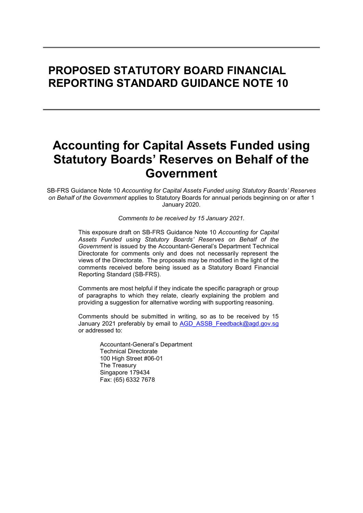# PROPOSED STATUTORY BOARD FINANCIAL REPORTING STANDARD GUIDANCE NOTE 10

# Accounting for Capital Assets Funded using Statutory Boards' Reserves on Behalf of the Government

SB-FRS Guidance Note 10 Accounting for Capital Assets Funded using Statutory Boards' Reserves on Behalf of the Government applies to Statutory Boards for annual periods beginning on or after 1 January 2020.

Comments to be received by 15 January 2021.

This exposure draft on SB-FRS Guidance Note 10 Accounting for Capital Assets Funded using Statutory Boards' Reserves on Behalf of the Government is issued by the Accountant-General's Department Technical Directorate for comments only and does not necessarily represent the views of the Directorate. The proposals may be modified in the light of the comments received before being issued as a Statutory Board Financial Reporting Standard (SB-FRS).

Comments are most helpful if they indicate the specific paragraph or group of paragraphs to which they relate, clearly explaining the problem and providing a suggestion for alternative wording with supporting reasoning.

Comments should be submitted in writing, so as to be received by 15 January 2021 preferably by email to AGD\_ASSB\_Feedback@agd.gov.sg or addressed to:

> Accountant-General's Department Technical Directorate 100 High Street #06-01 The Treasury Singapore 179434 Fax: (65) 6332 7678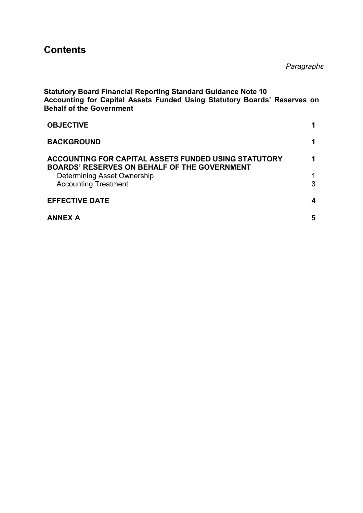## **Contents**

Paragraphs

| <b>Statutory Board Financial Reporting Standard Guidance Note 10</b><br>Accounting for Capital Assets Funded Using Statutory Boards' Reserves on<br><b>Behalf of the Government</b> |   |
|-------------------------------------------------------------------------------------------------------------------------------------------------------------------------------------|---|
| <b>OBJECTIVE</b>                                                                                                                                                                    | 1 |
| <b>BACKGROUND</b>                                                                                                                                                                   | 1 |
| <b>ACCOUNTING FOR CAPITAL ASSETS FUNDED USING STATUTORY</b><br><b>BOARDS' RESERVES ON BEHALF OF THE GOVERNMENT</b>                                                                  | 1 |
| Determining Asset Ownership<br><b>Accounting Treatment</b>                                                                                                                          | 3 |
| <b>EFFECTIVE DATE</b>                                                                                                                                                               | 4 |
| <b>ANNEX A</b>                                                                                                                                                                      | 5 |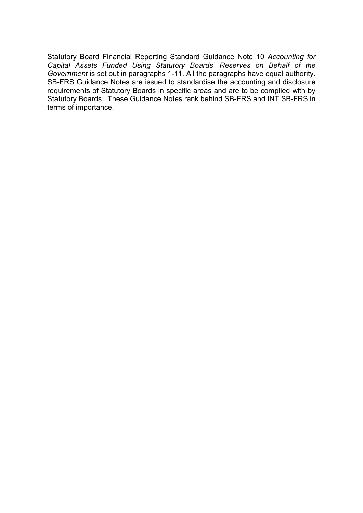Statutory Board Financial Reporting Standard Guidance Note 10 Accounting for Capital Assets Funded Using Statutory Boards' Reserves on Behalf of the Government is set out in paragraphs 1-11. All the paragraphs have equal authority. SB-FRS Guidance Notes are issued to standardise the accounting and disclosure requirements of Statutory Boards in specific areas and are to be complied with by Statutory Boards. These Guidance Notes rank behind SB-FRS and INT SB-FRS in terms of importance.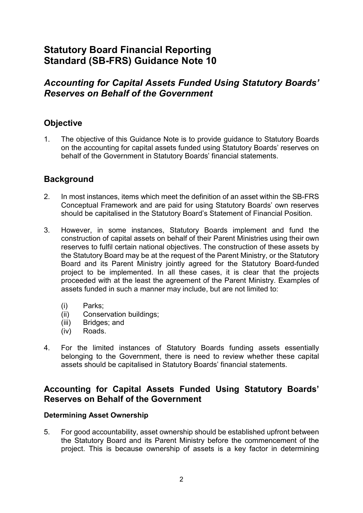## Statutory Board Financial Reporting Standard (SB-FRS) Guidance Note 10

## Accounting for Capital Assets Funded Using Statutory Boards' Reserves on Behalf of the Government

## **Objective**

1. The objective of this Guidance Note is to provide guidance to Statutory Boards on the accounting for capital assets funded using Statutory Boards' reserves on behalf of the Government in Statutory Boards' financial statements.

### **Background**

- 2. In most instances, items which meet the definition of an asset within the SB-FRS Conceptual Framework and are paid for using Statutory Boards' own reserves should be capitalised in the Statutory Board's Statement of Financial Position.
- 3. However, in some instances, Statutory Boards implement and fund the construction of capital assets on behalf of their Parent Ministries using their own reserves to fulfil certain national objectives. The construction of these assets by the Statutory Board may be at the request of the Parent Ministry, or the Statutory Board and its Parent Ministry jointly agreed for the Statutory Board-funded project to be implemented. In all these cases, it is clear that the projects proceeded with at the least the agreement of the Parent Ministry. Examples of assets funded in such a manner may include, but are not limited to:
	- (i) Parks;
	- (ii) Conservation buildings;
	- (iii) Bridges; and
	- (iv) Roads.
- 4. For the limited instances of Statutory Boards funding assets essentially belonging to the Government, there is need to review whether these capital assets should be capitalised in Statutory Boards' financial statements.

### Accounting for Capital Assets Funded Using Statutory Boards' Reserves on Behalf of the Government

#### Determining Asset Ownership

5. For good accountability, asset ownership should be established upfront between the Statutory Board and its Parent Ministry before the commencement of the project. This is because ownership of assets is a key factor in determining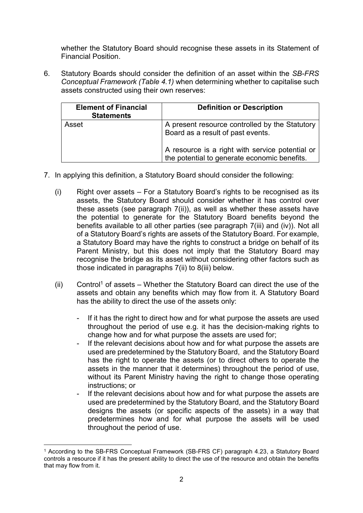whether the Statutory Board should recognise these assets in its Statement of Financial Position.

6. Statutory Boards should consider the definition of an asset within the SB-FRS Conceptual Framework (Table 4.1) when determining whether to capitalise such assets constructed using their own reserves:

| <b>Element of Financial</b><br><b>Statements</b> | <b>Definition or Description</b>                                                                |
|--------------------------------------------------|-------------------------------------------------------------------------------------------------|
| Asset                                            | A present resource controlled by the Statutory<br>Board as a result of past events.             |
|                                                  | A resource is a right with service potential or<br>the potential to generate economic benefits. |

- 7. In applying this definition, a Statutory Board should consider the following:
	- (i) Right over assets For a Statutory Board's rights to be recognised as its assets, the Statutory Board should consider whether it has control over these assets (see paragraph 7(ii)), as well as whether these assets have the potential to generate for the Statutory Board benefits beyond the benefits available to all other parties (see paragraph 7(iii) and (iv)). Not all of a Statutory Board's rights are assets of the Statutory Board. For example, a Statutory Board may have the rights to construct a bridge on behalf of its Parent Ministry, but this does not imply that the Statutory Board may recognise the bridge as its asset without considering other factors such as those indicated in paragraphs 7(ii) to 8(iii) below.
	- (ii) Control<sup>1</sup> of assets Whether the Statutory Board can direct the use of the assets and obtain any benefits which may flow from it. A Statutory Board has the ability to direct the use of the assets only:
		- If it has the right to direct how and for what purpose the assets are used throughout the period of use e.g. it has the decision-making rights to change how and for what purpose the assets are used for;
		- If the relevant decisions about how and for what purpose the assets are used are predetermined by the Statutory Board, and the Statutory Board has the right to operate the assets (or to direct others to operate the assets in the manner that it determines) throughout the period of use, without its Parent Ministry having the right to change those operating instructions; or
		- If the relevant decisions about how and for what purpose the assets are used are predetermined by the Statutory Board, and the Statutory Board designs the assets (or specific aspects of the assets) in a way that predetermines how and for what purpose the assets will be used throughout the period of use.

<sup>-</sup>1 According to the SB-FRS Conceptual Framework (SB-FRS CF) paragraph 4.23, a Statutory Board controls a resource if it has the present ability to direct the use of the resource and obtain the benefits that may flow from it.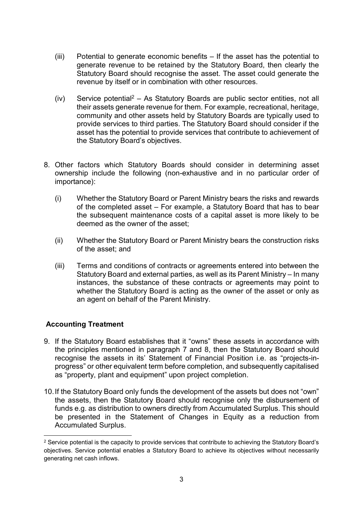- (iii) Potential to generate economic benefits If the asset has the potential to generate revenue to be retained by the Statutory Board, then clearly the Statutory Board should recognise the asset. The asset could generate the revenue by itself or in combination with other resources.
- $(iv)$  Service potential<sup>2</sup> As Statutory Boards are public sector entities, not all their assets generate revenue for them. For example, recreational, heritage, community and other assets held by Statutory Boards are typically used to provide services to third parties. The Statutory Board should consider if the asset has the potential to provide services that contribute to achievement of the Statutory Board's objectives.
- 8. Other factors which Statutory Boards should consider in determining asset ownership include the following (non-exhaustive and in no particular order of importance):
	- (i) Whether the Statutory Board or Parent Ministry bears the risks and rewards of the completed asset – For example, a Statutory Board that has to bear the subsequent maintenance costs of a capital asset is more likely to be deemed as the owner of the asset;
	- (ii) Whether the Statutory Board or Parent Ministry bears the construction risks of the asset; and
	- (iii) Terms and conditions of contracts or agreements entered into between the Statutory Board and external parties, as well as its Parent Ministry – In many instances, the substance of these contracts or agreements may point to whether the Statutory Board is acting as the owner of the asset or only as an agent on behalf of the Parent Ministry.

#### Accounting Treatment

-

- 9. If the Statutory Board establishes that it "owns" these assets in accordance with the principles mentioned in paragraph 7 and 8, then the Statutory Board should recognise the assets in its' Statement of Financial Position i.e. as "projects-inprogress" or other equivalent term before completion, and subsequently capitalised as "property, plant and equipment" upon project completion.
- 10. If the Statutory Board only funds the development of the assets but does not "own" the assets, then the Statutory Board should recognise only the disbursement of funds e.g. as distribution to owners directly from Accumulated Surplus. This should be presented in the Statement of Changes in Equity as a reduction from Accumulated Surplus.

<sup>&</sup>lt;sup>2</sup> Service potential is the capacity to provide services that contribute to achieving the Statutory Board's objectives. Service potential enables a Statutory Board to achieve its objectives without necessarily generating net cash inflows.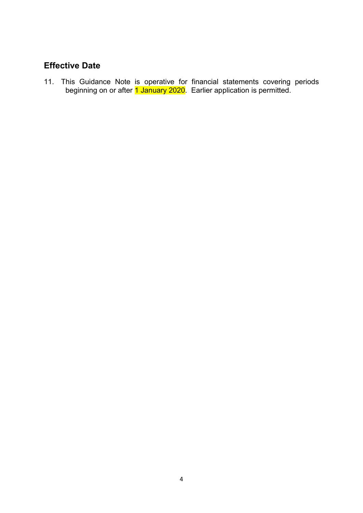## Effective Date

11. This Guidance Note is operative for financial statements covering periods beginning on or after <mark>1 January 2020</mark>. Earlier application is permitted.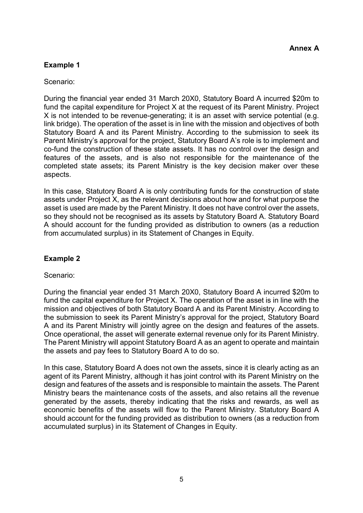#### Example 1

Scenario:

During the financial year ended 31 March 20X0, Statutory Board A incurred \$20m to fund the capital expenditure for Project X at the request of its Parent Ministry. Project X is not intended to be revenue-generating; it is an asset with service potential (e.g. link bridge). The operation of the asset is in line with the mission and objectives of both Statutory Board A and its Parent Ministry. According to the submission to seek its Parent Ministry's approval for the project, Statutory Board A's role is to implement and co-fund the construction of these state assets. It has no control over the design and features of the assets, and is also not responsible for the maintenance of the completed state assets; its Parent Ministry is the key decision maker over these aspects.

In this case, Statutory Board A is only contributing funds for the construction of state assets under Project X, as the relevant decisions about how and for what purpose the asset is used are made by the Parent Ministry. It does not have control over the assets, so they should not be recognised as its assets by Statutory Board A. Statutory Board A should account for the funding provided as distribution to owners (as a reduction from accumulated surplus) in its Statement of Changes in Equity.

#### Example 2

#### Scenario:

During the financial year ended 31 March 20X0, Statutory Board A incurred \$20m to fund the capital expenditure for Project X. The operation of the asset is in line with the mission and objectives of both Statutory Board A and its Parent Ministry. According to the submission to seek its Parent Ministry's approval for the project, Statutory Board A and its Parent Ministry will jointly agree on the design and features of the assets. Once operational, the asset will generate external revenue only for its Parent Ministry. The Parent Ministry will appoint Statutory Board A as an agent to operate and maintain the assets and pay fees to Statutory Board A to do so.

In this case, Statutory Board A does not own the assets, since it is clearly acting as an agent of its Parent Ministry, although it has joint control with its Parent Ministry on the design and features of the assets and is responsible to maintain the assets. The Parent Ministry bears the maintenance costs of the assets, and also retains all the revenue generated by the assets, thereby indicating that the risks and rewards, as well as economic benefits of the assets will flow to the Parent Ministry. Statutory Board A should account for the funding provided as distribution to owners (as a reduction from accumulated surplus) in its Statement of Changes in Equity.